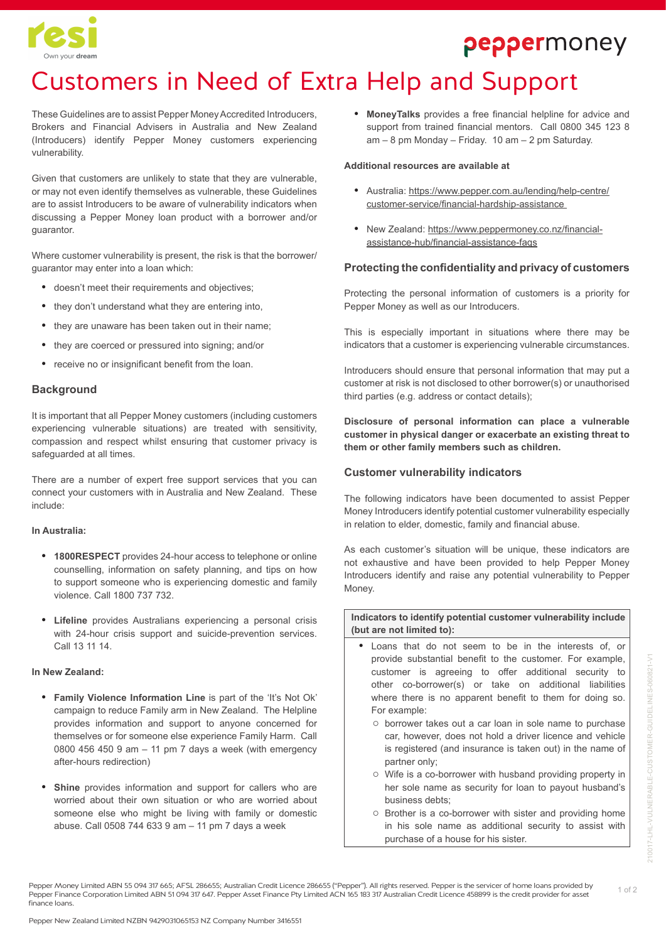

# peppermoney

# Customers in Need of Extra Help and Support

These Guidelines are to assist Pepper Money Accredited Introducers, Brokers and Financial Advisers in Australia and New Zealand (Introducers) identify Pepper Money customers experiencing vulnerability.

Given that customers are unlikely to state that they are vulnerable, or may not even identify themselves as vulnerable, these Guidelines are to assist Introducers to be aware of vulnerability indicators when discussing a Pepper Money loan product with a borrower and/or guarantor.

Where customer vulnerability is present, the risk is that the borrower/ guarantor may enter into a loan which:

- **•** doesn't meet their requirements and objectives;
- **•** they don't understand what they are entering into,
- **•** they are unaware has been taken out in their name;
- **•** they are coerced or pressured into signing; and/or
- **•** receive no or insignificant benefit from the loan.

### **Background**

It is important that all Pepper Money customers (including customers experiencing vulnerable situations) are treated with sensitivity, compassion and respect whilst ensuring that customer privacy is safeguarded at all times.

There are a number of expert free support services that you can connect your customers with in Australia and New Zealand. These include:

#### **In Australia:**

- **• 1800RESPECT** provides 24-hour access to telephone or online counselling, information on safety planning, and tips on how to support someone who is experiencing domestic and family violence. Call 1800 737 732.
- **• Lifeline** provides Australians experiencing a personal crisis with 24-hour crisis support and suicide-prevention services. Call 13 11 14.

#### **In New Zealand:**

- **• Family Violence Information Line** is part of the 'It's Not Ok' campaign to reduce Family arm in New Zealand. The Helpline provides information and support to anyone concerned for themselves or for someone else experience Family Harm. Call 0800 456 450 9 am – 11 pm 7 days a week (with emergency after-hours redirection)
- **• Shine** provides information and support for callers who are worried about their own situation or who are worried about someone else who might be living with family or domestic abuse. Call 0508 744 633 9 am – 11 pm 7 days a week

**• MoneyTalks** provides a free financial helpline for advice and support from trained financial mentors. Call 0800 345 123 8 am – 8 pm Monday – Friday. 10 am – 2 pm Saturday.

#### **Additional resources are available at**

- **•** Australia: https://www.pepper.com.au/lending/help-centre/ customer-service/financial-hardship-assistance
- **•** New Zealand: https://www.peppermoney.co.nz/financialassistance-hub/financial-assistance-faqs

### **Protecting the confidentiality and privacy of customers**

Protecting the personal information of customers is a priority for Pepper Money as well as our Introducers.

This is especially important in situations where there may be indicators that a customer is experiencing vulnerable circumstances.

Introducers should ensure that personal information that may put a customer at risk is not disclosed to other borrower(s) or unauthorised third parties (e.g. address or contact details);

**Disclosure of personal information can place a vulnerable customer in physical danger or exacerbate an existing threat to them or other family members such as children.**

### **Customer vulnerability indicators**

The following indicators have been documented to assist Pepper Money Introducers identify potential customer vulnerability especially in relation to elder, domestic, family and financial abuse.

As each customer's situation will be unique, these indicators are not exhaustive and have been provided to help Pepper Money Introducers identify and raise any potential vulnerability to Pepper Money.

**Indicators to identify potential customer vulnerability include (but are not limited to):**

- **•** Loans that do not seem to be in the interests of, or provide substantial benefit to the customer. For example, customer is agreeing to offer additional security to other co-borrower(s) or take on additional liabilities where there is no apparent benefit to them for doing so. For example:
	- borrower takes out a car loan in sole name to purchase car, however, does not hold a driver licence and vehicle is registered (and insurance is taken out) in the name of partner only;
	- Wife is a co-borrower with husband providing property in her sole name as security for loan to payout husband's business debts;
	- Brother is a co-borrower with sister and providing home in his sole name as additional security to assist with purchase of a house for his sister.

Pepper Money Limited ABN 55 094 317 665; AFSL 286655; Australian Credit Licence 286655 ("Pepper"). All rights reserved. Pepper is the servicer of home loans provided by Pepper Finance Corporation Limited ABN 51 094 317 647. Pepper Asset Finance Pty Limited ACN 165 183 317 Australian Credit Licence 458899 is the credit provider for asset finance loans.